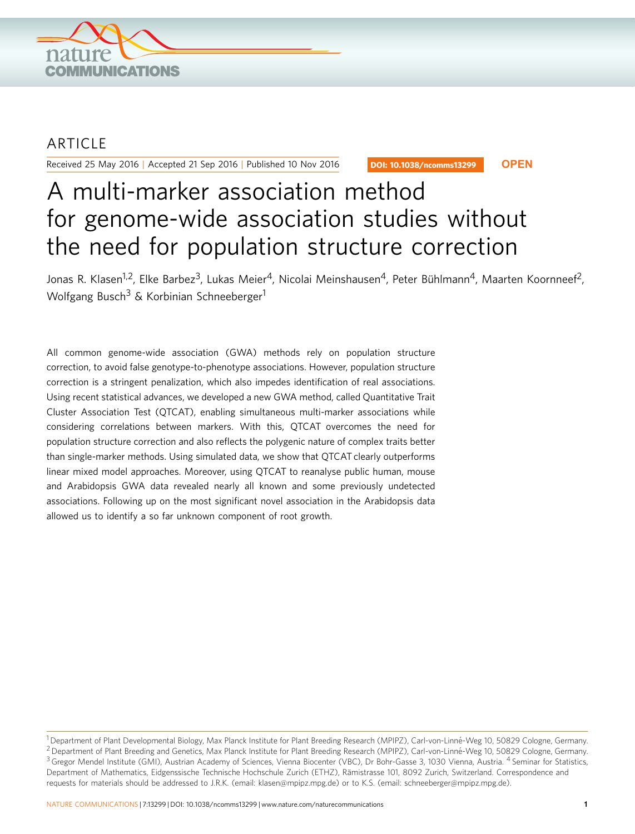

## ARTICLE

Received 25 May 2016 | Accepted 21 Sep 2016 | Published 10 Nov 2016

DOI: 10.1038/ncomms13299 **OPEN**

# A multi-marker association method for genome-wide association studies without the need for population structure correction

Jonas R. Klasen<sup>1,2</sup>, Elke Barbez<sup>3</sup>, Lukas Meier<sup>4</sup>, Nicolai Meinshausen<sup>4</sup>, Peter Bühlmann<sup>4</sup>, Maarten Koornneef<sup>2</sup>, Wolfgang Busch<sup>3</sup> & Korbinian Schneeberger<sup>1</sup>

All common genome-wide association (GWA) methods rely on population structure correction, to avoid false genotype-to-phenotype associations. However, population structure correction is a stringent penalization, which also impedes identification of real associations. Using recent statistical advances, we developed a new GWA method, called Quantitative Trait Cluster Association Test (QTCAT), enabling simultaneous multi-marker associations while considering correlations between markers. With this, QTCAT overcomes the need for population structure correction and also reflects the polygenic nature of complex traits better than single-marker methods. Using simulated data, we show that QTCAT clearly outperforms linear mixed model approaches. Moreover, using QTCAT to reanalyse public human, mouse and Arabidopsis GWA data revealed nearly all known and some previously undetected associations. Following up on the most significant novel association in the Arabidopsis data allowed us to identify a so far unknown component of root growth.

<sup>&</sup>lt;sup>1</sup> Department of Plant Developmental Biology, Max Planck Institute for Plant Breeding Research (MPIPZ), Carl-von-Linné-Weg 10, 50829 Cologne, Germany. <sup>2</sup> Department of Plant Breeding and Genetics, Max Planck Institute for Plant Breeding Research (MPIPZ), Carl-von-Linné-Weg 10, 50829 Cologne, Germany. <sup>3</sup> Gregor Mendel Institute (GMI), Austrian Academy of Sciences, Vienna Biocenter (VBC), Dr Bohr-Gasse 3, 1030 Vienna, Austria. <sup>4</sup> Seminar for Statistics, Department of Mathematics, Eidgenssische Technische Hochschule Zurich (ETHZ), Rämistrasse 101, 8092 Zurich, Switzerland. Correspondence and requests for materials should be addressed to J.R.K. (email: [klasen@mpipz.mpg.de](mailto:klasen@mpipz.mpg.de)) or to K.S. (email: [schneeberger@mpipz.mpg.de](mailto:schneeberger@mpipz.mpg.de)).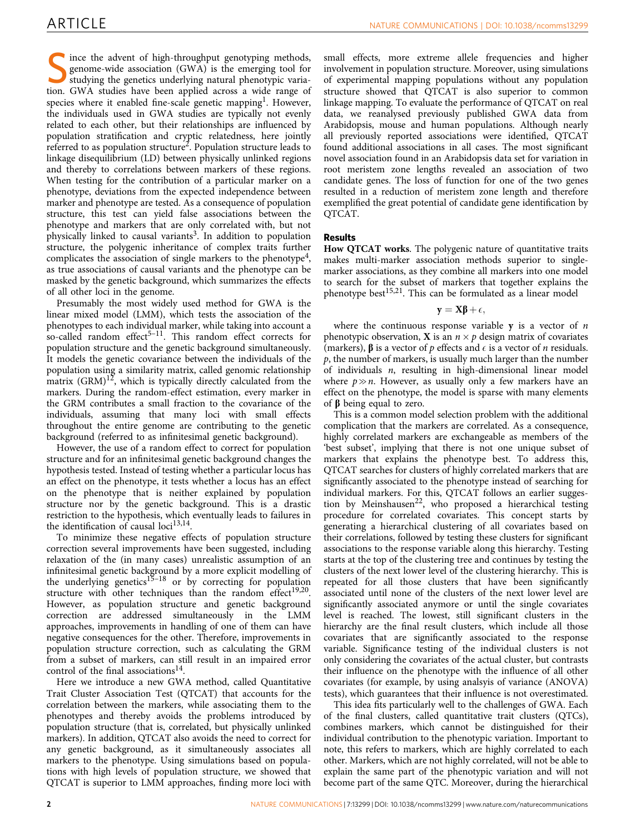ince the advent of high-throughput genotyping methods, genome-wide association (GWA) is the emerging tool for studying the genetics underlying natural phenotypic variation. GWA studies have been applied across a wide range of species where it enabled fine-scale genetic mapping<sup>1</sup>. However, the individuals used in GWA studies are typically not evenly related to each other, but their relationships are influenced by population stratification and cryptic relatedness, here jointly referred to as population structure<sup>2</sup>. Population structure leads to linkage disequilibrium (LD) between physically unlinked regions and thereby to correlations between markers of these regions. When testing for the contribution of a particular marker on a phenotype, deviations from the expected independence between marker and phenotype are tested. As a consequence of population structure, this test can yield false associations between the phenotype and markers that are only correlated with, but not physically linked to causal variants<sup>3</sup>. In addition to population structure, the polygenic inheritance of complex traits further complicates the association of single markers to the phenotype<sup>4</sup>, as true associations of causal variants and the phenotype can be masked by the genetic background, which summarizes the effects of all other loci in the genome.

Presumably the most widely used method for GWA is the linear mixed model (LMM), which tests the association of the phenotypes to each individual marker, while taking into account a so-called random effect<sup>5-11</sup>. This random effect corrects for population structure and the genetic background simultaneously. It models the genetic covariance between the individuals of the population using a similarity matrix, called genomic relationship matrix  $(GRM)^{12}$ , which is typically directly calculated from the markers. During the random-effect estimation, every marker in the GRM contributes a small fraction to the covariance of the individuals, assuming that many loci with small effects throughout the entire genome are contributing to the genetic background (referred to as infinitesimal genetic background).

However, the use of a random effect to correct for population structure and for an infinitesimal genetic background changes the hypothesis tested. Instead of testing whether a particular locus has an effect on the phenotype, it tests whether a locus has an effect on the phenotype that is neither explained by population structure nor by the genetic background. This is a drastic restriction to the hypothesis, which eventually leads to failures in the identification of causal  $loci^{13,14}$ .

To minimize these negative effects of population structure correction several improvements have been suggested, including relaxation of the (in many cases) unrealistic assumption of an infinitesimal genetic background by a more explicit modelling of the underlying genetics<sup>15-18</sup> or by correcting for population structure with other techniques than the random effect<sup>19,20</sup>. However, as population structure and genetic background correction are addressed simultaneously in the LMM approaches, improvements in handling of one of them can have negative consequences for the other. Therefore, improvements in population structure correction, such as calculating the GRM from a subset of markers, can still result in an impaired error control of the final associations<sup>14</sup>.

Here we introduce a new GWA method, called Quantitative Trait Cluster Association Test (QTCAT) that accounts for the correlation between the markers, while associating them to the phenotypes and thereby avoids the problems introduced by population structure (that is, correlated, but physically unlinked markers). In addition, QTCAT also avoids the need to correct for any genetic background, as it simultaneously associates all markers to the phenotype. Using simulations based on populations with high levels of population structure, we showed that QTCAT is superior to LMM approaches, finding more loci with

small effects, more extreme allele frequencies and higher involvement in population structure. Moreover, using simulations of experimental mapping populations without any population structure showed that QTCAT is also superior to common linkage mapping. To evaluate the performance of QTCAT on real data, we reanalysed previously published GWA data from Arabidopsis, mouse and human populations. Although nearly all previously reported associations were identified, QTCAT found additional associations in all cases. The most significant novel association found in an Arabidopsis data set for variation in root meristem zone lengths revealed an association of two candidate genes. The loss of function for one of the two genes resulted in a reduction of meristem zone length and therefore exemplified the great potential of candidate gene identification by QTCAT.

#### Results

How QTCAT works. The polygenic nature of quantitative traits makes multi-marker association methods superior to singlemarker associations, as they combine all markers into one model to search for the subset of markers that together explains the phenotype best<sup>15,21</sup>. This can be formulated as a linear model

$$
y = X\beta + \epsilon,
$$

where the continuous response variable  $y$  is a vector of  $n$ phenotypic observation, **X** is an  $n \times p$  design matrix of covariates (markers),  $\beta$  is a vector of p effects and  $\epsilon$  is a vector of n residuals. *, the number of markers, is usually much larger than the number* of individuals  $n$ , resulting in high-dimensional linear model where  $p \gg n$ . However, as usually only a few markers have an effect on the phenotype, the model is sparse with many elements of  $\beta$  being equal to zero.

This is a common model selection problem with the additional complication that the markers are correlated. As a consequence, highly correlated markers are exchangeable as members of the 'best subset', implying that there is not one unique subset of markers that explains the phenotype best. To address this, QTCAT searches for clusters of highly correlated markers that are significantly associated to the phenotype instead of searching for individual markers. For this, QTCAT follows an earlier sugges-tion by Meinshausen<sup>[22](#page-7-0)</sup>, who proposed a hierarchical testing procedure for correlated covariates. This concept starts by generating a hierarchical clustering of all covariates based on their correlations, followed by testing these clusters for significant associations to the response variable along this hierarchy. Testing starts at the top of the clustering tree and continues by testing the clusters of the next lower level of the clustering hierarchy. This is repeated for all those clusters that have been significantly associated until none of the clusters of the next lower level are significantly associated anymore or until the single covariates level is reached. The lowest, still significant clusters in the hierarchy are the final result clusters, which include all those covariates that are significantly associated to the response variable. Significance testing of the individual clusters is not only considering the covariates of the actual cluster, but contrasts their influence on the phenotype with the influence of all other covariates (for example, by using analsyis of variance (ANOVA) tests), which guarantees that their influence is not overestimated.

This idea fits particularly well to the challenges of GWA. Each of the final clusters, called quantitative trait clusters (QTCs), combines markers, which cannot be distinguished for their individual contribution to the phenotypic variation. Important to note, this refers to markers, which are highly correlated to each other. Markers, which are not highly correlated, will not be able to explain the same part of the phenotypic variation and will not become part of the same QTC. Moreover, during the hierarchical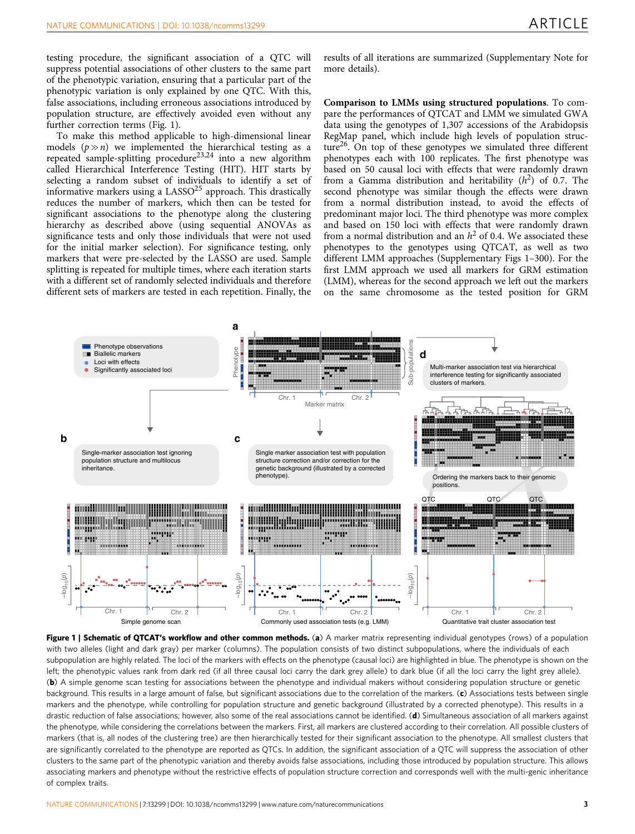testing procedure, the significant association of a QTC will suppress potential associations of other clusters to the same part of the phenotypic variation, ensuring that a particular part of the phenotypic variation is only explained by one QTC. With this, false associations, including erroneous associations introduced by population structure, are effectively avoided even without any further correction terms (Fig. 1).

To make this method applicable to high-dimensional linear models  $(p \gg n)$  we implemented the hierarchical testing as a repeated sample-splitting procedure<sup>[23,24](#page-7-0)</sup> into a new algorithm called Hierarchical Interference Testing (HIT). HIT starts by selecting a random subset of individuals to identify a set of informative markers using a  $LASSO<sup>25</sup>$  $LASSO<sup>25</sup>$  $LASSO<sup>25</sup>$  approach. This drastically reduces the number of markers, which then can be tested for significant associations to the phenotype along the clustering hierarchy as described above (using sequential ANOVAs as significance tests and only those individuals that were not used for the initial marker selection). For significance testing, only markers that were pre-selected by the LASSO are used. Sample splitting is repeated for multiple times, where each iteration starts with a different set of randomly selected individuals and therefore different sets of markers are tested in each repetition. Finally, the results of all iterations are summarized (Supplementary Note for more details).

Comparison to LMMs using structured populations. To compare the performances of QTCAT and LMM we simulated GWA data using the genotypes of 1,307 accessions of the Arabidopsis RegMap panel, which include high levels of population struc-ture<sup>[26](#page-7-0)</sup>. On top of these genotypes we simulated three different phenotypes each with 100 replicates. The first phenotype was based on 50 causal loci with effects that were randomly drawn from a Gamma distribution and heritability  $(h^2)$  of 0.7. The second phenotype was similar though the effects were drawn from a normal distribution instead, to avoid the effects of predominant major loci. The third phenotype was more complex and based on 150 loci with effects that were randomly drawn from a normal distribution and an  $h^2$  of 0.4. We associated these phenotypes to the genotypes using QTCAT, as well as two different LMM approaches (Supplementary Figs 1–300). For the first LMM approach we used all markers for GRM estimation (LMM), whereas for the second approach we left out the markers on the same chromosome as the tested position for GRM



Figure 1 | Schematic of QTCAT's workflow and other common methods. (a) A marker matrix representing individual genotypes (rows) of a population with two alleles (light and dark gray) per marker (columns). The population consists of two distinct subpopulations, where the individuals of each subpopulation are highly related. The loci of the markers with effects on the phenotype (causal loci) are highlighted in blue. The phenotype is shown on the left; the phenotypic values rank from dark red (if all three causal loci carry the dark grey allele) to dark blue (if all the loci carry the light grey allele). (b) A simple genome scan testing for associations between the phenotype and individual makers without considering population structure or genetic background. This results in a large amount of false, but significant associations due to the correlation of the markers. (c) Associations tests between single markers and the phenotype, while controlling for population structure and genetic background (illustrated by a corrected phenotype). This results in a drastic reduction of false associations; however, also some of the real associations cannot be identified. (d) Simultaneous association of all markers against the phenotype, while considering the correlations between the markers. First, all markers are clustered according to their correlation. All possible clusters of markers (that is, all nodes of the clustering tree) are then hierarchically tested for their significant association to the phenotype. All smallest clusters that are significantly correlated to the phenotype are reported as QTCs. In addition, the significant association of a QTC will suppress the association of other clusters to the same part of the phenotypic variation and thereby avoids false associations, including those introduced by population structure. This allows associating markers and phenotype without the restrictive effects of population structure correction and corresponds well with the multi-genic inheritance of complex traits.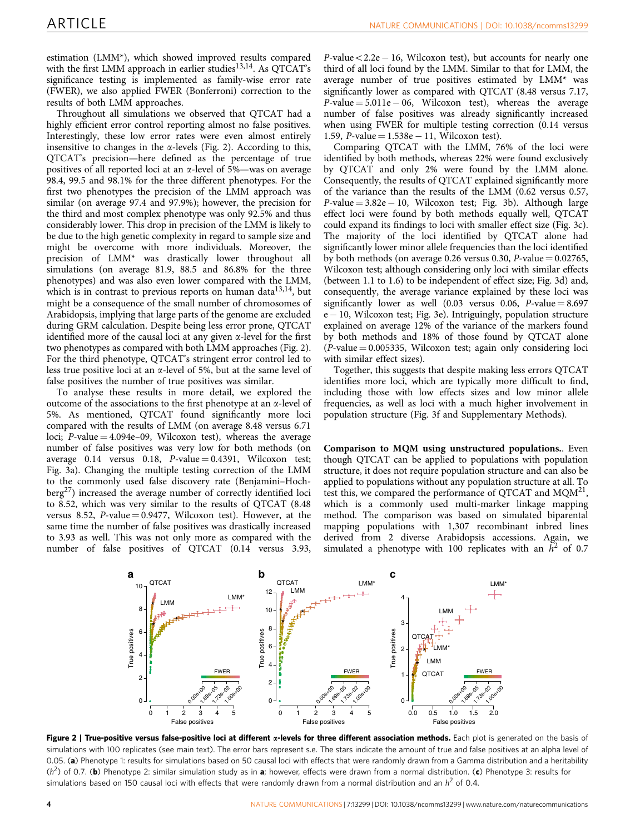estimation (LMM\*), which showed improved results compared with the first LMM approach in earlier studies<sup>[13,14](#page-7-0)</sup>. As QTCAT's significance testing is implemented as family-wise error rate (FWER), we also applied FWER (Bonferroni) correction to the results of both LMM approaches.

Throughout all simulations we observed that QTCAT had a highly efficient error control reporting almost no false positives. Interestingly, these low error rates were even almost entirely insensitive to changes in the  $\alpha$ -levels (Fig. 2). According to this, QTCAT's precision—here defined as the percentage of true positives of all reported loci at an  $\alpha$ -level of 5%—was on average 98.4, 99.5 and 98.1% for the three different phenotypes. For the first two phenotypes the precision of the LMM approach was similar (on average 97.4 and 97.9%); however, the precision for the third and most complex phenotype was only 92.5% and thus considerably lower. This drop in precision of the LMM is likely to be due to the high genetic complexity in regard to sample size and might be overcome with more individuals. Moreover, the precision of LMM\* was drastically lower throughout all simulations (on average 81.9, 88.5 and 86.8% for the three phenotypes) and was also even lower compared with the LMM, which is in contrast to previous reports on human data<sup>13,14</sup>, but might be a consequence of the small number of chromosomes of Arabidopsis, implying that large parts of the genome are excluded during GRM calculation. Despite being less error prone, QTCAT identified more of the causal loci at any given  $\alpha$ -level for the first two phenotypes as compared with both LMM approaches (Fig. 2). For the third phenotype, QTCAT's stringent error control led to less true positive loci at an  $\alpha$ -level of 5%, but at the same level of false positives the number of true positives was similar.

To analyse these results in more detail, we explored the outcome of the associations to the first phenotype at an  $\alpha$ -level of 5%. As mentioned, QTCAT found significantly more loci compared with the results of LMM (on average 8.48 versus 6.71 loci;  $P$ -value = 4.094e-09, Wilcoxon test), whereas the average number of false positives was very low for both methods (on average  $0.14$  versus  $0.18$ ,  $P$ -value = 0.4391, Wilcoxon test; [Fig. 3a](#page-4-0)). Changing the multiple testing correction of the LMM to the commonly used false discovery rate (Benjamini–Hoch $berg<sup>27</sup>$ ) increased the average number of correctly identified loci to 8.52, which was very similar to the results of QTCAT (8.48 versus 8.52, P-value  $= 0.9477$ , Wilcoxon test). However, at the same time the number of false positives was drastically increased to 3.93 as well. This was not only more as compared with the number of false positives of QTCAT (0.14 versus 3.93,  $P$ -value  $\lt 2.2e - 16$ , Wilcoxon test), but accounts for nearly one third of all loci found by the LMM. Similar to that for LMM, the average number of true positives estimated by LMM\* was significantly lower as compared with QTCAT (8.48 versus 7.17,  $P$ -value = 5.011e – 06, Wilcoxon test), whereas the average number of false positives was already significantly increased when using FWER for multiple testing correction (0.14 versus 1.59, P-value =  $1.538e - 11$ , Wilcoxon test).

Comparing QTCAT with the LMM, 76% of the loci were identified by both methods, whereas 22% were found exclusively by QTCAT and only 2% were found by the LMM alone. Consequently, the results of QTCAT explained significantly more of the variance than the results of the LMM (0.62 versus 0.57,  $P$ -value = 3.82e – 10, Wilcoxon test; [Fig. 3b](#page-4-0)). Although large effect loci were found by both methods equally well, QTCAT could expand its findings to loci with smaller effect size [\(Fig. 3c](#page-4-0)). The majority of the loci identified by QTCAT alone had significantly lower minor allele frequencies than the loci identified by both methods (on average 0.26 versus 0.30, *P*-value  $= 0.02765$ , Wilcoxon test; although considering only loci with similar effects (between 1.1 to 1.6) to be independent of effect size; [Fig. 3d\)](#page-4-0) and, consequently, the average variance explained by these loci was significantly lower as well  $(0.03$  versus 0.06, P-value = 8.697  $e - 10$ , Wilcoxon test; [Fig. 3e](#page-4-0)). Intriguingly, population structure explained on average 12% of the variance of the markers found by both methods and 18% of those found by QTCAT alone  $(P-value = 0.005335$ , Wilcoxon test; again only considering loci with similar effect sizes).

Together, this suggests that despite making less errors QTCAT identifies more loci, which are typically more difficult to find, including those with low effects sizes and low minor allele frequencies, as well as loci with a much higher involvement in population structure [\(Fig. 3f](#page-4-0) and Supplementary Methods).

Comparison to MQM using unstructured populations.. Even though QTCAT can be applied to populations with population structure, it does not require population structure and can also be applied to populations without any population structure at all. To test this, we compared the performance of QTCAT and MQM<sup>21</sup>, which is a commonly used multi-marker linkage mapping method. The comparison was based on simulated biparental mapping populations with 1,307 recombinant inbred lines derived from 2 diverse Arabidopsis accessions. Again, we simulated a phenotype with 100 replicates with an  $h^2$  of 0.7



Figure 2 | True-positive versus false-positive loci at different  $\alpha$ -levels for three different association methods. Each plot is generated on the basis of simulations with 100 replicates (see main text). The error bars represent s.e. The stars indicate the amount of true and false positives at an alpha level of 0.05. (a) Phenotype 1: results for simulations based on 50 causal loci with effects that were randomly drawn from a Gamma distribution and a heritability  $(h^2)$  of 0.7. (b) Phenotype 2: similar simulation study as in a; however, effects were drawn from a normal distribution. (c) Phenotype 3: results for simulations based on 150 causal loci with effects that were randomly drawn from a normal distribution and an  $h^2$  of 0.4.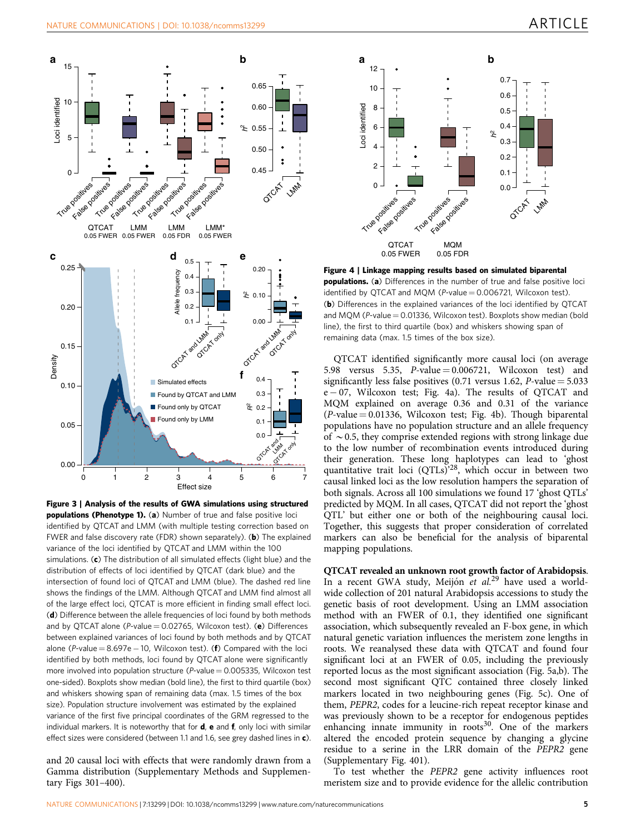<span id="page-4-0"></span>



and 20 causal loci with effects that were randomly drawn from a Gamma distribution (Supplementary Methods and Supplementary Figs 301–400).



Figure 4 | Linkage mapping results based on simulated biparental **populations.** (a) Differences in the number of true and false positive loci identified by QTCAT and MQM ( $P$ -value  $= 0.006721$ , Wilcoxon test). (b) Differences in the explained variances of the loci identified by QTCAT and MQM (P-value  $=$  0.01336, Wilcoxon test). Boxplots show median (bold line), the first to third quartile (box) and whiskers showing span of remaining data (max. 1.5 times of the box size).

QTCAT identified significantly more causal loci (on average 5.98 versus 5.35, P-value  $= 0.006721$ , Wilcoxon test) and significantly less false positives  $(0.71 \text{ versus } 1.62, P\text{-value} = 5.033$  $e - 07$ , Wilcoxon test; Fig. 4a). The results of QTCAT and MQM explained on average 0.36 and 0.31 of the variance  $(P-value = 0.01336$ , Wilcoxon test; Fig. 4b). Though biparental populations have no population structure and an allele frequency of  $\sim$  0.5, they comprise extended regions with strong linkage due to the low number of recombination events introduced during their generation. These long haplotypes can lead to 'ghost quantitative trait loci (QTLs)<sup>228</sup>, which occur in between two causal linked loci as the low resolution hampers the separation of both signals. Across all 100 simulations we found 17 'ghost QTLs' predicted by MQM. In all cases, QTCAT did not report the 'ghost QTL' but either one or both of the neighbouring causal loci. Together, this suggests that proper consideration of correlated markers can also be beneficial for the analysis of biparental mapping populations.

QTCAT revealed an unknown root growth factor of Arabidopsis. In a recent GWA study, Meijón et al.<sup>[29](#page-7-0)</sup> have used a worldwide collection of 201 natural Arabidopsis accessions to study the genetic basis of root development. Using an LMM association method with an FWER of 0.1, they identified one significant association, which subsequently revealed an F-box gene, in which natural genetic variation influences the meristem zone lengths in roots. We reanalysed these data with QTCAT and found four significant loci at an FWER of 0.05, including the previously reported locus as the most significant association ([Fig. 5a,b\)](#page-5-0). The second most significant QTC contained three closely linked markers located in two neighbouring genes [\(Fig. 5c](#page-5-0)). One of them, PEPR2, codes for a leucine-rich repeat receptor kinase and was previously shown to be a receptor for endogenous peptides enhancing innate immunity in roots<sup>30</sup>. One of the markers altered the encoded protein sequence by changing a glycine residue to a serine in the LRR domain of the PEPR2 gene (Supplementary Fig. 401).

To test whether the PEPR2 gene activity influences root meristem size and to provide evidence for the allelic contribution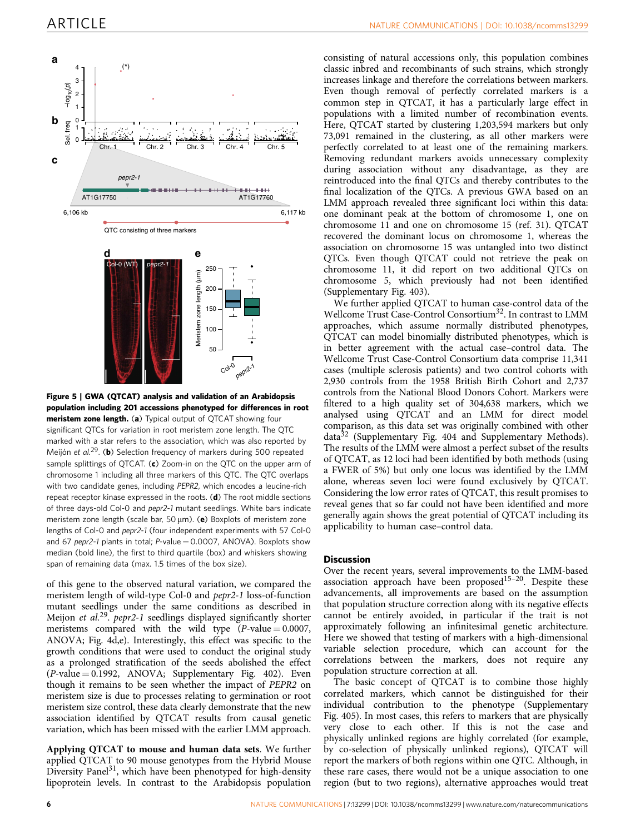<span id="page-5-0"></span>

Figure 5 | GWA (QTCAT) analysis and validation of an Arabidopsis population including 201 accessions phenotyped for differences in root meristem zone length. (a) Typical output of QTCAT showing four significant QTCs for variation in root meristem zone length. The QTC marked with a star refers to the association, which was also reported by Meijón et al.<sup>[29](#page-7-0)</sup>. (b) Selection frequency of markers during 500 repeated sample splittings of QTCAT. (c) Zoom-in on the QTC on the upper arm of chromosome 1 including all three markers of this QTC. The QTC overlaps with two candidate genes, including PEPR2, which encodes a leucine-rich repeat receptor kinase expressed in the roots. (d) The root middle sections of three days-old Col-0 and pepr2-1 mutant seedlings. White bars indicate meristem zone length (scale bar,  $50 \mu m$ ). (e) Boxplots of meristem zone lengths of Col-0 and pepr2-1 (four independent experiments with 57 Col-0 and 67 pepr2-1 plants in total;  $P$ -value = 0.0007, ANOVA). Boxplots show median (bold line), the first to third quartile (box) and whiskers showing span of remaining data (max. 1.5 times of the box size).

of this gene to the observed natural variation, we compared the meristem length of wild-type Col-0 and pepr2-1 loss-of-function mutant seedlings under the same conditions as described in Meijon et al.<sup>29</sup>. pepr2-1 seedlings displayed significantly shorter meristems compared with the wild type  $(P-value = 0.0007$ , ANOVA; [Fig. 4d,e\)](#page-4-0). Interestingly, this effect was specific to the growth conditions that were used to conduct the original study as a prolonged stratification of the seeds abolished the effect  $(P-value = 0.1992$ , ANOVA; Supplementary Fig. 402). Even though it remains to be seen whether the impact of PEPR2 on meristem size is due to processes relating to germination or root meristem size control, these data clearly demonstrate that the new association identified by QTCAT results from causal genetic variation, which has been missed with the earlier LMM approach.

Applying QTCAT to mouse and human data sets. We further applied QTCAT to 90 mouse genotypes from the Hybrid Mouse Diversity Panel<sup>[31](#page-7-0)</sup>, which have been phenotyped for high-density lipoprotein levels. In contrast to the Arabidopsis population

consisting of natural accessions only, this population combines classic inbred and recombinants of such strains, which strongly increases linkage and therefore the correlations between markers. Even though removal of perfectly correlated markers is a common step in QTCAT, it has a particularly large effect in populations with a limited number of recombination events. Here, QTCAT started by clustering 1,203,594 markers but only 73,091 remained in the clustering, as all other markers were perfectly correlated to at least one of the remaining markers. Removing redundant markers avoids unnecessary complexity during association without any disadvantage, as they are reintroduced into the final QTCs and thereby contributes to the final localization of the QTCs. A previous GWA based on an LMM approach revealed three significant loci within this data: one dominant peak at the bottom of chromosome 1, one on chromosome 11 and one on chromosome 15 ([ref. 31](#page-7-0)). QTCAT recovered the dominant locus on chromosome 1, whereas the association on chromosome 15 was untangled into two distinct QTCs. Even though QTCAT could not retrieve the peak on chromosome 11, it did report on two additional QTCs on chromosome 5, which previously had not been identified (Supplementary Fig. 403).

We further applied QTCAT to human case-control data of the Wellcome Trust Case-Control Consortium<sup>[32](#page-7-0)</sup>. In contrast to LMM approaches, which assume normally distributed phenotypes, QTCAT can model binomially distributed phenotypes, which is in better agreement with the actual case–control data. The Wellcome Trust Case-Control Consortium data comprise 11,341 cases (multiple sclerosis patients) and two control cohorts with 2,930 controls from the 1958 British Birth Cohort and 2,737 controls from the National Blood Donors Cohort. Markers were filtered to a high quality set of 304,638 markers, which we analysed using QTCAT and an LMM for direct model comparison, as this data set was originally combined with other data<sup>[32](#page-7-0)</sup> (Supplementary Fig. 404 and Supplementary Methods). The results of the LMM were almost a perfect subset of the results of QTCAT, as 12 loci had been identified by both methods (using a FWER of 5%) but only one locus was identified by the LMM alone, whereas seven loci were found exclusively by QTCAT. Considering the low error rates of QTCAT, this result promises to reveal genes that so far could not have been identified and more generally again shows the great potential of QTCAT including its applicability to human case–control data.

### **Discussion**

Over the recent years, several improvements to the LMM-based association approach have been proposed<sup>15-20</sup>. Despite these advancements, all improvements are based on the assumption that population structure correction along with its negative effects cannot be entirely avoided, in particular if the trait is not approximately following an infinitesimal genetic architecture. Here we showed that testing of markers with a high-dimensional variable selection procedure, which can account for the correlations between the markers, does not require any population structure correction at all.

The basic concept of QTCAT is to combine those highly correlated markers, which cannot be distinguished for their individual contribution to the phenotype (Supplementary Fig. 405). In most cases, this refers to markers that are physically very close to each other. If this is not the case and physically unlinked regions are highly correlated (for example, by co-selection of physically unlinked regions), QTCAT will report the markers of both regions within one QTC. Although, in these rare cases, there would not be a unique association to one region (but to two regions), alternative approaches would treat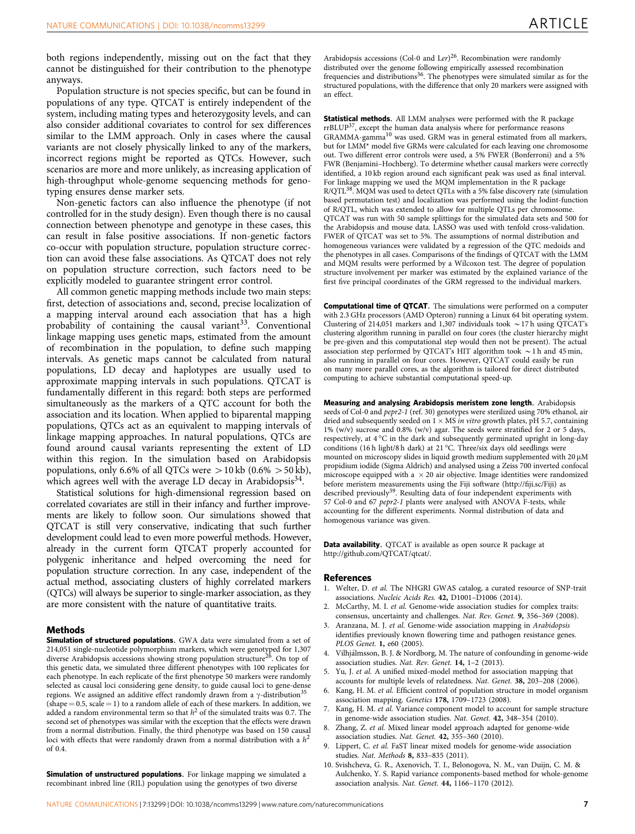<span id="page-6-0"></span>both regions independently, missing out on the fact that they cannot be distinguished for their contribution to the phenotype anyways.

Population structure is not species specific, but can be found in populations of any type. QTCAT is entirely independent of the system, including mating types and heterozygosity levels, and can also consider additional covariates to control for sex differences similar to the LMM approach. Only in cases where the causal variants are not closely physically linked to any of the markers, incorrect regions might be reported as QTCs. However, such scenarios are more and more unlikely, as increasing application of high-throughput whole-genome sequencing methods for genotyping ensures dense marker sets.

Non-genetic factors can also influence the phenotype (if not controlled for in the study design). Even though there is no causal connection between phenotype and genotype in these cases, this can result in false positive associations. If non-genetic factors co-occur with population structure, population structure correction can avoid these false associations. As QTCAT does not rely on population structure correction, such factors need to be explicitly modeled to guarantee stringent error control.

All common genetic mapping methods include two main steps: first, detection of associations and, second, precise localization of a mapping interval around each association that has a high probability of containing the causal variant $33$ . Conventional linkage mapping uses genetic maps, estimated from the amount of recombination in the population, to define such mapping intervals. As genetic maps cannot be calculated from natural populations, LD decay and haplotypes are usually used to approximate mapping intervals in such populations. QTCAT is fundamentally different in this regard: both steps are performed simultaneously as the markers of a QTC account for both the association and its location. When applied to biparental mapping populations, QTCs act as an equivalent to mapping intervals of linkage mapping approaches. In natural populations, QTCs are found around causal variants representing the extent of LD within this region. In the simulation based on Arabidopsis populations, only 6.6% of all QTCs were  $> 10$  kb (0.6%  $> 50$  kb), which agrees well with the average LD decay in Arabidopsis $34$ .

Statistical solutions for high-dimensional regression based on correlated covariates are still in their infancy and further improvements are likely to follow soon. Our simulations showed that QTCAT is still very conservative, indicating that such further development could lead to even more powerful methods. However, already in the current form QTCAT properly accounted for polygenic inheritance and helped overcoming the need for population structure correction. In any case, independent of the actual method, associating clusters of highly correlated markers (QTCs) will always be superior to single-marker association, as they are more consistent with the nature of quantitative traits.

#### Methods

Simulation of structured populations. GWA data were simulated from a set of 214,051 single-nucleotide polymorphism markers, which were genotyped for 1,307 diverse Arabidopsis accessions showing strong population structure[26.](#page-7-0) On top of this genetic data, we simulated three different phenotypes with 100 replicates for each phenotype. In each replicate of the first phenotype 50 markers were randomly selected as causal loci considering gene density, to guide causal loci to gene-dense regions. We assigned an additive effect randomly drawn from a  $\gamma$ -distribution<sup>[35](#page-7-0)</sup>  $(shape = 0.5, scale = 1)$  to a random allele of each of these markers. In addition, we added a random environmental term so that  $h^2$  of the simulated traits was 0.7. The second set of phenotypes was similar with the exception that the effects were drawn from a normal distribution. Finally, the third phenotype was based on 150 causal loci with effects that were randomly drawn from a normal distribution with a  $h^2$ of 0.4.

Simulation of unstructured populations. For linkage mapping we simulated a recombinant inbred line (RIL) population using the genotypes of two diverse

Arabidopsis accessions (Col-0 and Ler)<sup>[26](#page-7-0)</sup>. Recombination were randomly distributed over the genome following empirically assessed recombination<br>frequencies and distributions<sup>36</sup>. The phenotypes were simulated similar as for the structured populations, with the difference that only 20 markers were assigned with an effect.

Statistical methods. All LMM analyses were performed with the R package rrBLU[P37,](#page-7-0) except the human data analysis where for performance reasons GRAMMA-gamma<sup>10</sup> was used. GRM was in general estimated from all markers, but for LMM\* model five GRMs were calculated for each leaving one chromosome out. Two different error controls were used, a 5% FWER (Bonferroni) and a 5% FWR (Benjamini–Hochberg). To determine whether causal markers were correctly identified, a 10 kb region around each significant peak was used as final interval. For linkage mapping we used the MQM implementation in the R package R/QTL[38](#page-7-0). MQM was used to detect QTLs with a 5% false discovery rate (simulation based permutation test) and localization was performed using the lodint-function of R/QTL, which was extended to allow for multiple QTLs per chromosome. QTCAT was run with 50 sample splittings for the simulated data sets and 500 for the Arabidopsis and mouse data. LASSO was used with tenfold cross-validation. FWER of QTCAT was set to 5%. The assumptions of normal distribution and homogeneous variances were validated by a regression of the QTC medoids and the phenotypes in all cases. Comparisons of the findings of QTCAT with the LMM and MQM results were performed by a Wilcoxon test. The degree of population structure involvement per marker was estimated by the explained variance of the first five principal coordinates of the GRM regressed to the individual markers.

Computational time of QTCAT. The simulations were performed on a computer with 2.3 GHz processors (AMD Opteron) running a Linux 64 bit operating system. Clustering of 214,051 markers and 1,307 individuals took  $\sim$  17 h using QTCAT's clustering algorithm running in parallel on four cores (the cluster hierarchy might be pre-given and this computational step would then not be present). The actual association step performed by QTCAT's HIT algorithm took  $\sim$  1 h and 45 min, also running in parallel on four cores. However, QTCAT could easily be run on many more parallel cores, as the algorithm is tailored for direct distributed computing to achieve substantial computational speed-up.

Measuring and analysing Arabidopsis meristem zone length. Arabidopsis seeds of Col-0 and pepr2-1 ([ref. 30](#page-7-0)) genotypes were sterilized using 70% ethanol, air dried and subsequently seeded on  $1 \times MS$  in vitro growth plates, pH 5.7, containing 1% (w/v) sucrose and 0.8% (w/v) agar. The seeds were stratified for 2 or 5 days, respectively, at  $4^{\circ}$ C in the dark and subsequently germinated upright in long-day conditions (16 h light/8 h dark) at 21 °C. Three/six days old seedlings were mounted on microscopy slides in liquid growth medium supplemented with 20  $\upmu\textnormal{M}$ propidium iodide (Sigma Aldrich) and analysed using a Zeiss 700 inverted confocal microscope equipped with a  $\times$  20 air objective. Image identities were randomized before meristem measurements using the Fiji software ([http://fiji.sc/Fiji\)](http://fiji.sc/Fiji) as described previously<sup>39</sup>. Resulting data of four independent experiments with 57 Col-0 and 67 pepr2-1 plants were analysed with ANOVA F-tests, while accounting for the different experiments. Normal distribution of data and homogenous variance was given.

Data availability. QTCAT is available as open source R package at <http://github.com/QTCAT/qtcat/>.

#### References

- 1. Welter, D. et al. The NHGRI GWAS catalog, a curated resource of SNP-trait associations. Nucleic Acids Res. 42, D1001–D1006 (2014).
- 2. McCarthy, M. I. et al. Genome-wide association studies for complex traits: consensus, uncertainty and challenges. Nat. Rev. Genet. 9, 356–369 (2008).
- 3. Aranzana, M. J. et al. Genome-wide association mapping in Arabidopsis identifies previously known flowering time and pathogen resistance genes. PLOS Genet. 1, e60 (2005).
- 4. Vilhjálmsson, B. J. & Nordborg, M. The nature of confounding in genome-wide association studies. Nat. Rev. Genet. 14, 1–2 (2013).
- Yu, J. et al. A unified mixed-model method for association mapping that accounts for multiple levels of relatedness. Nat. Genet. 38, 203–208 (2006).
- 6. Kang, H. M. et al. Efficient control of population structure in model organism association mapping. Genetics 178, 1709–1723 (2008).
- Kang, H. M. et al. Variance component model to account for sample structure in genome-wide association studies. Nat. Genet. 42, 348–354 (2010).
- Zhang, Z. et al. Mixed linear model approach adapted for genome-wide association studies. Nat. Genet. 42, 355–360 (2010).
- 9. Lippert, C. et al. FaST linear mixed models for genome-wide association studies. Nat. Methods 8, 833-835 (2011).
- 10. Svishcheva, G. R., Axenovich, T. I., Belonogova, N. M., van Duijn, C. M. & Aulchenko, Y. S. Rapid variance components-based method for whole-genome association analysis. Nat. Genet. 44, 1166–1170 (2012).